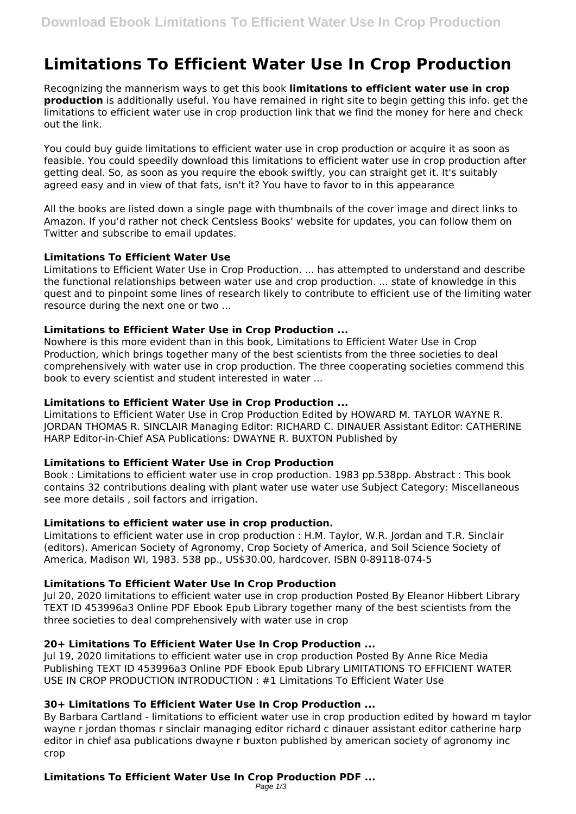# **Limitations To Efficient Water Use In Crop Production**

Recognizing the mannerism ways to get this book **limitations to efficient water use in crop production** is additionally useful. You have remained in right site to begin getting this info. get the limitations to efficient water use in crop production link that we find the money for here and check out the link.

You could buy guide limitations to efficient water use in crop production or acquire it as soon as feasible. You could speedily download this limitations to efficient water use in crop production after getting deal. So, as soon as you require the ebook swiftly, you can straight get it. It's suitably agreed easy and in view of that fats, isn't it? You have to favor to in this appearance

All the books are listed down a single page with thumbnails of the cover image and direct links to Amazon. If you'd rather not check Centsless Books' website for updates, you can follow them on Twitter and subscribe to email updates.

## **Limitations To Efficient Water Use**

Limitations to Efficient Water Use in Crop Production. ... has attempted to understand and describe the functional relationships between water use and crop production. ... state of knowledge in this quest and to pinpoint some lines of research likely to contribute to efficient use of the limiting water resource during the next one or two ...

### **Limitations to Efficient Water Use in Crop Production ...**

Nowhere is this more evident than in this book, Limitations to Efficient Water Use in Crop Production, which brings together many of the best scientists from the three societies to deal comprehensively with water use in crop production. The three cooperating societies commend this book to every scientist and student interested in water ...

## **Limitations to Efficient Water Use in Crop Production ...**

Limitations to Efficient Water Use in Crop Production Edited by HOWARD M. TAYLOR WAYNE R. JORDAN THOMAS R. SINCLAIR Managing Editor: RICHARD C. DINAUER Assistant Editor: CATHERINE HARP Editor-in-Chief ASA Publications: DWAYNE R. BUXTON Published by

## **Limitations to Efficient Water Use in Crop Production**

Book : Limitations to efficient water use in crop production. 1983 pp.538pp. Abstract : This book contains 32 contributions dealing with plant water use water use Subject Category: Miscellaneous see more details , soil factors and irrigation.

## **Limitations to efficient water use in crop production.**

Limitations to efficient water use in crop production : H.M. Taylor, W.R. Jordan and T.R. Sinclair (editors). American Society of Agronomy, Crop Society of America, and Soil Science Society of America, Madison WI, 1983. 538 pp., US\$30.00, hardcover. ISBN 0-89118-074-5

## **Limitations To Efficient Water Use In Crop Production**

Jul 20, 2020 limitations to efficient water use in crop production Posted By Eleanor Hibbert Library TEXT ID 453996a3 Online PDF Ebook Epub Library together many of the best scientists from the three societies to deal comprehensively with water use in crop

## **20+ Limitations To Efficient Water Use In Crop Production ...**

Jul 19, 2020 limitations to efficient water use in crop production Posted By Anne Rice Media Publishing TEXT ID 453996a3 Online PDF Ebook Epub Library LIMITATIONS TO EFFICIENT WATER USE IN CROP PRODUCTION INTRODUCTION : #1 Limitations To Efficient Water Use

## **30+ Limitations To Efficient Water Use In Crop Production ...**

By Barbara Cartland - limitations to efficient water use in crop production edited by howard m taylor wayne r jordan thomas r sinclair managing editor richard c dinauer assistant editor catherine harp editor in chief asa publications dwayne r buxton published by american society of agronomy inc crop

## **Limitations To Efficient Water Use In Crop Production PDF ...**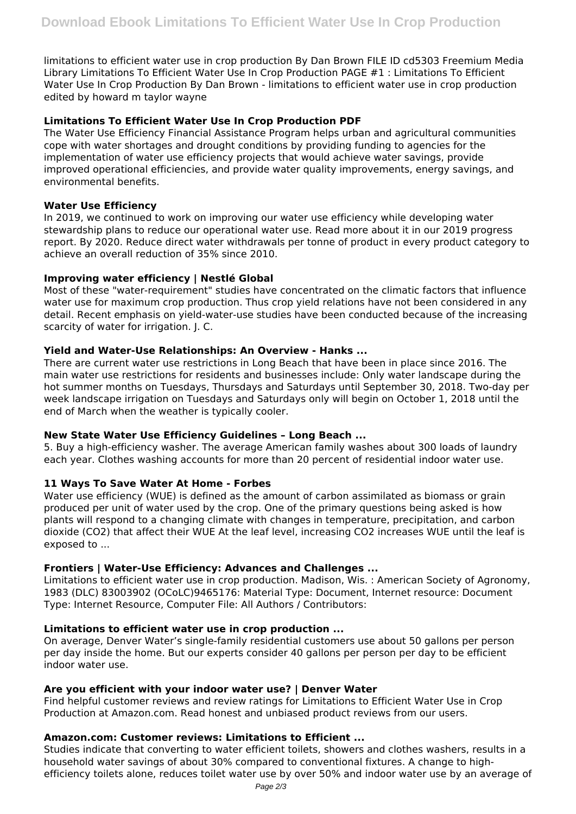limitations to efficient water use in crop production By Dan Brown FILE ID cd5303 Freemium Media Library Limitations To Efficient Water Use In Crop Production PAGE #1 : Limitations To Efficient Water Use In Crop Production By Dan Brown - limitations to efficient water use in crop production edited by howard m taylor wayne

## **Limitations To Efficient Water Use In Crop Production PDF**

The Water Use Efficiency Financial Assistance Program helps urban and agricultural communities cope with water shortages and drought conditions by providing funding to agencies for the implementation of water use efficiency projects that would achieve water savings, provide improved operational efficiencies, and provide water quality improvements, energy savings, and environmental benefits.

## **Water Use Efficiency**

In 2019, we continued to work on improving our water use efficiency while developing water stewardship plans to reduce our operational water use. Read more about it in our 2019 progress report. By 2020. Reduce direct water withdrawals per tonne of product in every product category to achieve an overall reduction of 35% since 2010.

## **Improving water efficiency | Nestlé Global**

Most of these "water‐requirement" studies have concentrated on the climatic factors that influence water use for maximum crop production. Thus crop yield relations have not been considered in any detail. Recent emphasis on yield‐water‐use studies have been conducted because of the increasing scarcity of water for irrigation. J. C.

## **Yield and Water‐Use Relationships: An Overview - Hanks ...**

There are current water use restrictions in Long Beach that have been in place since 2016. The main water use restrictions for residents and businesses include: Only water landscape during the hot summer months on Tuesdays, Thursdays and Saturdays until September 30, 2018. Two-day per week landscape irrigation on Tuesdays and Saturdays only will begin on October 1, 2018 until the end of March when the weather is typically cooler.

## **New State Water Use Efficiency Guidelines – Long Beach ...**

5. Buy a high-efficiency washer. The average American family washes about 300 loads of laundry each year. Clothes washing accounts for more than 20 percent of residential indoor water use.

## **11 Ways To Save Water At Home - Forbes**

Water use efficiency (WUE) is defined as the amount of carbon assimilated as biomass or grain produced per unit of water used by the crop. One of the primary questions being asked is how plants will respond to a changing climate with changes in temperature, precipitation, and carbon dioxide (CO2) that affect their WUE At the leaf level, increasing CO2 increases WUE until the leaf is exposed to ...

## **Frontiers | Water-Use Efficiency: Advances and Challenges ...**

Limitations to efficient water use in crop production. Madison, Wis. : American Society of Agronomy, 1983 (DLC) 83003902 (OCoLC)9465176: Material Type: Document, Internet resource: Document Type: Internet Resource, Computer File: All Authors / Contributors:

## **Limitations to efficient water use in crop production ...**

On average, Denver Water's single-family residential customers use about 50 gallons per person per day inside the home. But our experts consider 40 gallons per person per day to be efficient indoor water use.

#### **Are you efficient with your indoor water use? | Denver Water**

Find helpful customer reviews and review ratings for Limitations to Efficient Water Use in Crop Production at Amazon.com. Read honest and unbiased product reviews from our users.

## **Amazon.com: Customer reviews: Limitations to Efficient ...**

Studies indicate that converting to water efficient toilets, showers and clothes washers, results in a household water savings of about 30% compared to conventional fixtures. A change to highefficiency toilets alone, reduces toilet water use by over 50% and indoor water use by an average of